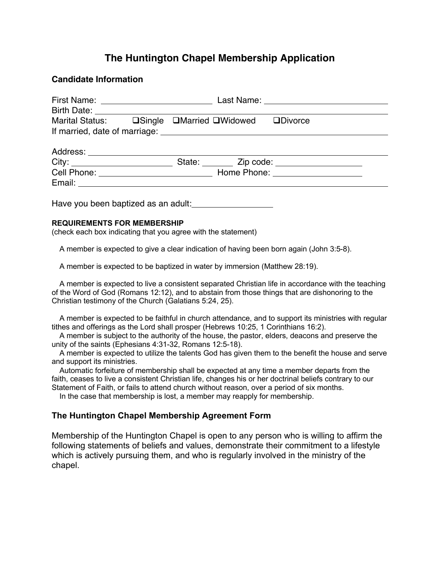# **The Huntington Chapel Membership Application**

#### **Candidate Information**

| Last Name: ______________________________ |
|-------------------------------------------|
|                                           |
|                                           |
|                                           |
|                                           |
|                                           |
|                                           |
|                                           |
|                                           |
|                                           |

Have you been baptized as an adult:

#### **REQUIREMENTS FOR MEMBERSHIP**

(check each box indicating that you agree with the statement)

A member is expected to give a clear indication of having been born again (John 3:5-8).

A member is expected to be baptized in water by immersion (Matthew 28:19).

 A member is expected to live a consistent separated Christian life in accordance with the teaching of the Word of God (Romans 12:12), and to abstain from those things that are dishonoring to the Christian testimony of the Church (Galatians 5:24, 25).

 A member is expected to be faithful in church attendance, and to support its ministries with regular tithes and offerings as the Lord shall prosper (Hebrews 10:25, 1 Corinthians 16:2).

 A member is subject to the authority of the house, the pastor, elders, deacons and preserve the unity of the saints (Ephesians 4:31-32, Romans 12:5-18).

 A member is expected to utilize the talents God has given them to the benefit the house and serve and support its ministries.

 Automatic forfeiture of membership shall be expected at any time a member departs from the faith, ceases to live a consistent Christian life, changes his or her doctrinal beliefs contrary to our Statement of Faith, or fails to attend church without reason, over a period of six months.

In the case that membership is lost, a member may reapply for membership.

#### **The Huntington Chapel Membership Agreement Form**

Membership of the Huntington Chapel is open to any person who is willing to affirm the following statements of beliefs and values, demonstrate their commitment to a lifestyle which is actively pursuing them, and who is regularly involved in the ministry of the chapel.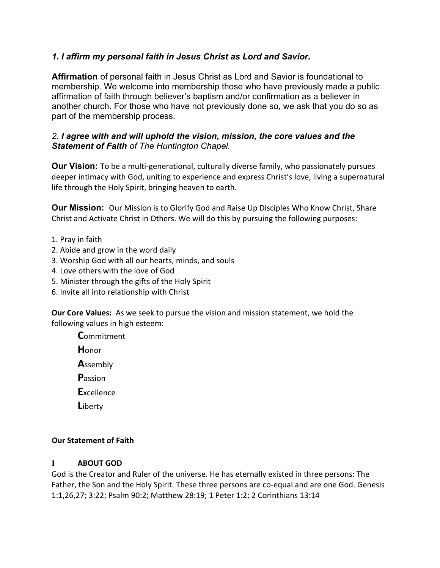### *1. I affirm my personal faith in Jesus Christ as Lord and Savior.*

**Affirmation** of personal faith in Jesus Christ as Lord and Savior is foundational to membership. We welcome into membership those who have previously made a public affirmation of faith through believer's baptism and/or confirmation as a believer in another church. For those who have not previously done so, we ask that you do so as part of the membership process.

#### *2. I agree with and will uphold the vision, mission, the core values and the Statement of Faith of The Huntington Chapel.*

**Our Vision:** To be a multi-generational, culturally diverse family, who passionately pursues deeper intimacy with God, uniting to experience and express Christ's love, living a supernatural life through the Holy Spirit, bringing heaven to earth.

**Our Mission:** Our Mission is to Glorify God and Raise Up Disciples Who Know Christ, Share Christ and Activate Christ in Others. We will do this by pursuing the following purposes:

- 1. Pray in faith
- 2. Abide and grow in the word daily
- 3. Worship God with all our hearts, minds, and souls
- 4. Love others with the love of God
- 5. Minister through the gifts of the Holy Spirit
- 6. Invite all into relationship with Christ

**Our Core Values:** As we seek to pursue the vision and mission statement, we hold the following values in high esteem:

**C**ommitment **H**onor **A**ssembly **P**assion **E**xcellence

**L**iberty

#### **Our Statement of Faith**

#### **I ABOUT GOD**

God is the Creator and Ruler of the universe. He has eternally existed in three persons: The Father, the Son and the Holy Spirit. These three persons are co-equal and are one God. Genesis 1:1,26,27; 3:22; Psalm 90:2; Matthew 28:19; 1 Peter 1:2; 2 Corinthians 13:14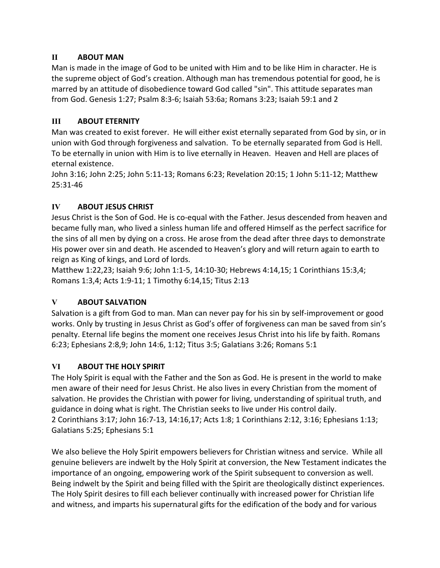### **II ABOUT MAN**

Man is made in the image of God to be united with Him and to be like Him in character. He is the supreme object of God's creation. Although man has tremendous potential for good, he is marred by an attitude of disobedience toward God called "sin". This attitude separates man from God. Genesis 1:27; Psalm 8:3-6; Isaiah 53:6a; Romans 3:23; Isaiah 59:1 and 2

### **III ABOUT ETERNITY**

Man was created to exist forever. He will either exist eternally separated from God by sin, or in union with God through forgiveness and salvation. To be eternally separated from God is Hell. To be eternally in union with Him is to live eternally in Heaven. Heaven and Hell are places of eternal existence.

John 3:16; John 2:25; John 5:11-13; Romans 6:23; Revelation 20:15; 1 John 5:11-12; Matthew 25:31-46

#### **IV ABOUT JESUS CHRIST**

Jesus Christ is the Son of God. He is co-equal with the Father. Jesus descended from heaven and became fully man, who lived a sinless human life and offered Himself as the perfect sacrifice for the sins of all men by dying on a cross. He arose from the dead after three days to demonstrate His power over sin and death. He ascended to Heaven's glory and will return again to earth to reign as King of kings, and Lord of lords.

Matthew 1:22,23; Isaiah 9:6; John 1:1-5, 14:10-30; Hebrews 4:14,15; 1 Corinthians 15:3,4; Romans 1:3,4; Acts 1:9-11; 1 Timothy 6:14,15; Titus 2:13

# **V ABOUT SALVATION**

Salvation is a gift from God to man. Man can never pay for his sin by self-improvement or good works. Only by trusting in Jesus Christ as God's offer of forgiveness can man be saved from sin's penalty. Eternal life begins the moment one receives Jesus Christ into his life by faith. Romans 6:23; Ephesians 2:8,9; John 14:6, 1:12; Titus 3:5; Galatians 3:26; Romans 5:1

#### **VI ABOUT THE HOLY SPIRIT**

The Holy Spirit is equal with the Father and the Son as God. He is present in the world to make men aware of their need for Jesus Christ. He also lives in every Christian from the moment of salvation. He provides the Christian with power for living, understanding of spiritual truth, and guidance in doing what is right. The Christian seeks to live under His control daily. 2 Corinthians 3:17; John 16:7-13, 14:16,17; Acts 1:8; 1 Corinthians 2:12, 3:16; Ephesians 1:13; Galatians 5:25; Ephesians 5:1

We also believe the Holy Spirit empowers believers for Christian witness and service. While all genuine believers are indwelt by the Holy Spirit at conversion, the New Testament indicates the importance of an ongoing, empowering work of the Spirit subsequent to conversion as well. Being indwelt by the Spirit and being filled with the Spirit are theologically distinct experiences. The Holy Spirit desires to fill each believer continually with increased power for Christian life and witness, and imparts his supernatural gifts for the edification of the body and for various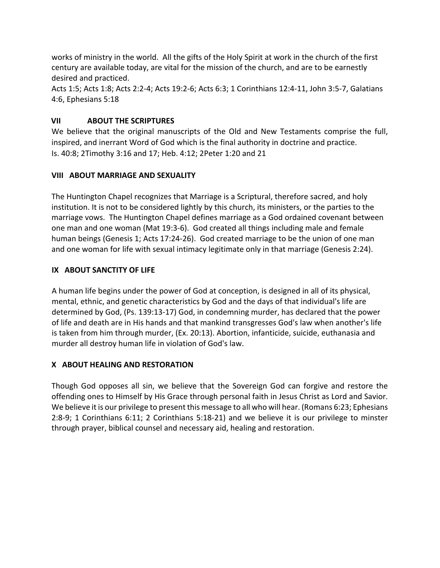works of ministry in the world. All the gifts of the Holy Spirit at work in the church of the first century are available today, are vital for the mission of the church, and are to be earnestly desired and practiced.

Acts 1:5; Acts 1:8; Acts 2:2-4; Acts 19:2-6; Acts 6:3; 1 Corinthians 12:4-11, John 3:5-7, Galatians 4:6, Ephesians 5:18

### **VII ABOUT THE SCRIPTURES**

We believe that the original manuscripts of the Old and New Testaments comprise the full, inspired, and inerrant Word of God which is the final authority in doctrine and practice. Is. 40:8; 2Timothy 3:16 and 17; Heb. 4:12; 2Peter 1:20 and 21

#### **VIII ABOUT MARRIAGE AND SEXUALITY**

The Huntington Chapel recognizes that Marriage is a Scriptural, therefore sacred, and holy institution. It is not to be considered lightly by this church, its ministers, or the parties to the marriage vows. The Huntington Chapel defines marriage as a God ordained covenant between one man and one woman (Mat 19:3-6). God created all things including male and female human beings (Genesis 1; Acts 17:24-26). God created marriage to be the union of one man and one woman for life with sexual intimacy legitimate only in that marriage (Genesis 2:24).

#### **IX ABOUT SANCTITY OF LIFE**

A human life begins under the power of God at conception, is designed in all of its physical, mental, ethnic, and genetic characteristics by God and the days of that individual's life are determined by God, (Ps. 139:13-17) God, in condemning murder, has declared that the power of life and death are in His hands and that mankind transgresses God's law when another's life is taken from him through murder, (Ex. 20:13). Abortion, infanticide, suicide, euthanasia and murder all destroy human life in violation of God's law.

# **X ABOUT HEALING AND RESTORATION**

Though God opposes all sin, we believe that the Sovereign God can forgive and restore the offending ones to Himself by His Grace through personal faith in Jesus Christ as Lord and Savior. We believe it is our privilege to present this message to all who will hear. (Romans 6:23; Ephesians 2:8-9; 1 Corinthians 6:11; 2 Corinthians 5:18-21) and we believe it is our privilege to minster through prayer, biblical counsel and necessary aid, healing and restoration.